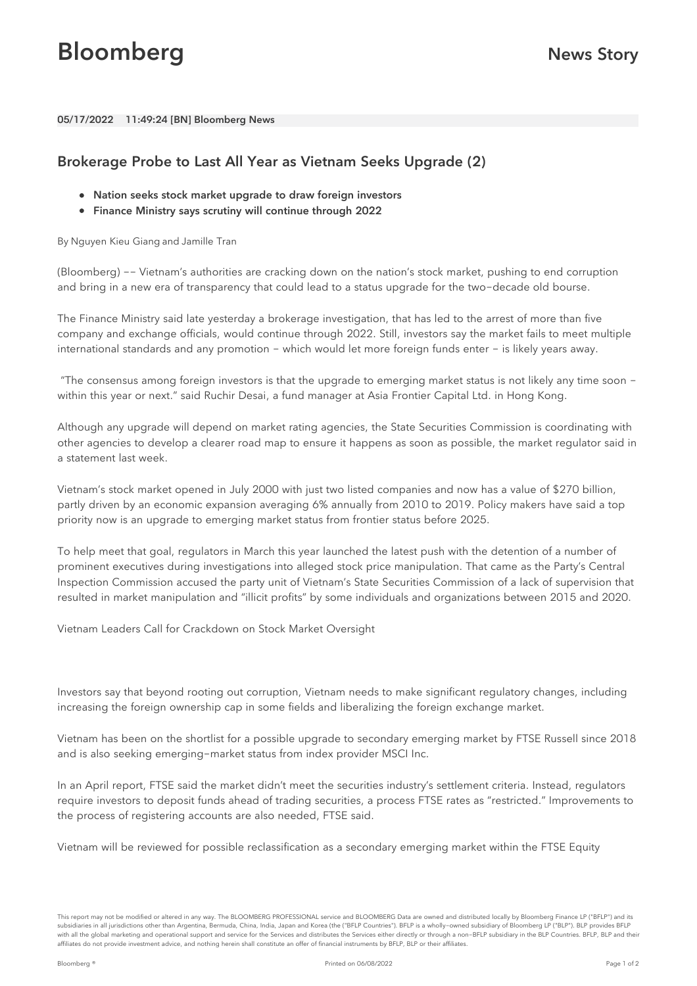## **Bloomberg News Story**

05/17/2022 11:49:24 [BN] Bloomberg News

## Brokerage Probe to Last All Year as Vietnam Seeks Upgrade (2)

- Nation seeks stock market upgrade to draw foreign investors
- Finance Ministry says scrutiny will continue through 2022

By Nguyen Kieu Giang and Jamille Tran

(Bloomberg) -- Vietnam's authorities are cracking down on the nation's stock market, pushing to end corruption and bring in a new era of transparency that could lead to a status upgrade for the two-decade old bourse.

The Finance Ministry said late yesterday a brokerage investigation, that has led to the arrest of more than five company and exchange officials, would continue through 2022. Still, investors say the market fails to meet multiple international standards and any promotion - which would let more foreign funds enter - is likely years away.

"The consensus among foreign investors is that the upgrade to emerging market status is not likely any time soon within this year or next." said [Ruchir](bbg://people/profile/19394424) Desai, a fund manager at Asia Frontier Capital Ltd. in Hong Kong.

Although any upgrade will depend on market rating agencies, the State Securities Commission is coordinating with other agencies to develop a clearer road map to ensure it happens as soon as possible, the market regulator said in a statement last week.

Vietnam's stock market opened in July 2000 with just two listed companies and now has a value of \$270 billion, partly driven by an economic expansion averaging 6% annually from 2010 to 2019. Policy makers have said a top priority now is an upgrade to emerging market status from frontier status before 2025.

To help meet that goal, regulators in March this year launched the latest push with the detention of a number of prominent executives during investigations into alleged stock price manipulation. That came as the Party's Central Inspection Commission accused the party unit of Vietnam's State Securities Commission of a lack of supervision that resulted in market manipulation and "illicit profits" by some individuals and organizations between 2015 and 2020.

Vietnam Leaders Call for [Crackdown](bbg://news/stories/R9NPD8DWLU6S) on Stock Market Oversight

Investors say that beyond rooting out corruption, Vietnam needs to make significant regulatory changes, including increasing the foreign ownership cap in some fields and liberalizing the foreign exchange market.

Vietnam has been on the shortlist for a possible upgrade to secondary emerging market by FTSE Russell since 2018 and is also seeking emerging-market status from index provider MSCI Inc.

In an April report, FTSE said the market didn't meet the securities industry's settlement criteria. Instead, regulators require investors to deposit funds ahead of trading securities, a process FTSE rates as "restricted." Improvements to the process of registering accounts are also needed, FTSE said.

Vietnam will be reviewed for possible reclassification as a secondary emerging market within the FTSE Equity

This report may not be modified or altered in any way. The BLOOMBERG PROFESSIONAL service and BLOOMBERG Data are owned and distributed locally by Bloomberg Finance LP ("BFLP") and its subsidiaries in all jurisdictions other than Argentina, Bermuda, China, India, Japan and Korea (the ("BFLP Countries"). BFLP is a wholly-owned subsidiary of Bloomberg LP ("BLP"). BLP provides BFLP with all the global marketing and operational support and service for the Services and distributes the Services either directly or through a non-BFLP subsidiary in the BLP Countries. BFLP, BLP and their affiliates do not provide investment advice, and nothing herein shall constitute an offer of financial instruments by BFLP, BLP or their affiliates.